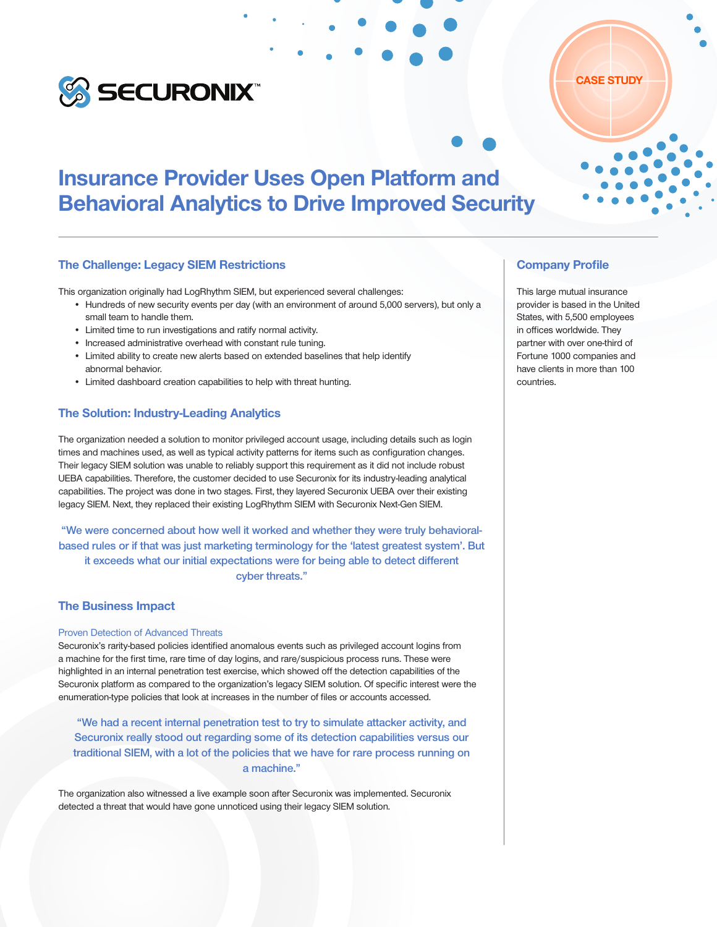

# Insurance Provider Uses Open Platform and Behavioral Analytics to Drive Improved Security

#### The Challenge: Legacy SIEM Restrictions

This organization originally had LogRhythm SIEM, but experienced several challenges:

- Hundreds of new security events per day (with an environment of around 5,000 servers), but only a small team to handle them.
- Limited time to run investigations and ratify normal activity.
- Increased administrative overhead with constant rule tuning.
- Limited ability to create new alerts based on extended baselines that help identify abnormal behavior.
- Limited dashboard creation capabilities to help with threat hunting.

#### The Solution: Industry-Leading Analytics

The organization needed a solution to monitor privileged account usage, including details such as login times and machines used, as well as typical activity patterns for items such as configuration changes. Their legacy SIEM solution was unable to reliably support this requirement as it did not include robust UEBA capabilities. Therefore, the customer decided to use Securonix for its industry-leading analytical capabilities. The project was done in two stages. First, they layered Securonix UEBA over their existing legacy SIEM. Next, they replaced their existing LogRhythm SIEM with Securonix Next-Gen SIEM.

"We were concerned about how well it worked and whether they were truly behavioralbased rules or if that was just marketing terminology for the 'latest greatest system'. But it exceeds what our initial expectations were for being able to detect different cyber threats."

## The Business Impact

#### Proven Detection of Advanced Threats

Securonix's rarity-based policies identified anomalous events such as privileged account logins from a machine for the first time, rare time of day logins, and rare/suspicious process runs. These were highlighted in an internal penetration test exercise, which showed off the detection capabilities of the Securonix platform as compared to the organization's legacy SIEM solution. Of specific interest were the enumeration-type policies that look at increases in the number of files or accounts accessed.

"We had a recent internal penetration test to try to simulate attacker activity, and Securonix really stood out regarding some of its detection capabilities versus our traditional SIEM, with a lot of the policies that we have for rare process running on a machine."

The organization also witnessed a live example soon after Securonix was implemented. Securonix detected a threat that would have gone unnoticed using their legacy SIEM solution.

## Company Profile

This large mutual insurance provider is based in the United States, with 5,500 employees in offices worldwide. They partner with over one-third of Fortune 1000 companies and have clients in more than 100 countries.

CASE STUDY